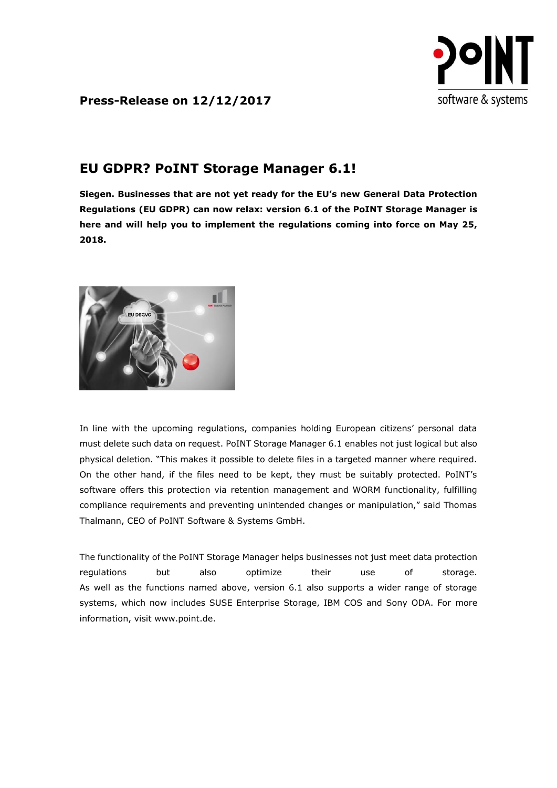

**Press-Release on 12/12/2017**

## **EU GDPR? PoINT Storage Manager 6.1!**

**Siegen. Businesses that are not yet ready for the EU's new General Data Protection Regulations (EU GDPR) can now relax: version 6.1 of the PoINT Storage Manager is here and will help you to implement the regulations coming into force on May 25, 2018.**



In line with the upcoming regulations, companies holding European citizens' personal data must delete such data on request. PoINT Storage Manager 6.1 enables not just logical but also physical deletion. "This makes it possible to delete files in a targeted manner where required. On the other hand, if the files need to be kept, they must be suitably protected. PoINT's software offers this protection via retention management and WORM functionality, fulfilling compliance requirements and preventing unintended changes or manipulation," said Thomas Thalmann, CEO of PoINT Software & Systems GmbH.

The functionality of the PoINT Storage Manager helps businesses not just meet data protection regulations but also optimize their use of storage. As well as the functions named above, version 6.1 also supports a wider range of storage systems, which now includes SUSE Enterprise Storage, IBM COS and Sony ODA. For more information, visit [www.point.de.](http://www.point.de/)